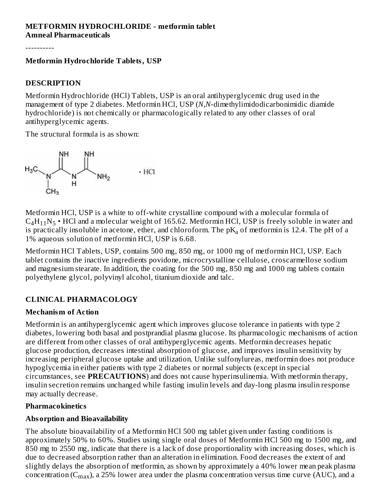#### **METFORMIN HYDROCHLORIDE - metformin tablet Amneal Pharmaceuticals**

----------

#### **Metformin Hydrochloride Tablets, USP**

#### **DESCRIPTION**

Metformin Hydrochloride (HCl) Tablets, USP is an oral antihyperglycemic drug used in the management of type 2 diabetes. Metformin HCl, USP (*N,N*-dimethylimidodicarbonimidic diamide hydrochloride) is not chemically or pharmacologically related to any other classes of oral antihyperglycemic agents.

The structural formula is as shown:



Metformin HCl, USP is a white to off-white crystalline compound with a molecular formula of  $\rm{C_4H_{11}N_5}$  • HCl and a molecular weight of 165.62. Metformin HCl, USP is freely soluble in water and is practically insoluble in acetone, ether, and chloroform. The  $\rm{pK}_{a}$  of metformin is 12.4. The  $\rm{pH}$  of a 1% aqueous solution of metformin HCl, USP is 6.68.

Metformin HCl Tablets, USP, contains 500 mg, 850 mg, or 1000 mg of metformin HCl, USP. Each tablet contains the inactive ingredients povidone, microcrystalline cellulose, croscarmellose sodium and magnesium stearate. In addition, the coating for the 500 mg, 850 mg and 1000 mg tablets contain polyethylene glycol, polyvinyl alcohol, titanium dioxide and talc.

## **CLINICAL PHARMACOLOGY**

#### **Mechanism of Action**

Metformin is an antihyperglycemic agent which improves glucose tolerance in patients with type 2 diabetes, lowering both basal and postprandial plasma glucose. Its pharmacologic mechanisms of action are different from other classes of oral antihyperglycemic agents. Metformin decreases hepatic glucose production, decreases intestinal absorption of glucose, and improves insulin sensitivity by increasing peripheral glucose uptake and utilization. Unlike sulfonylureas, metformin does not produce hypoglycemia in either patients with type 2 diabetes or normal subjects (except in special circumstances, see **PRECAUTIONS**) and does not cause hyperinsulinemia. With metformin therapy, insulin secretion remains unchanged while fasting insulin levels and day-long plasma insulin response may actually decrease.

#### **Pharmacokinetics**

#### **Absorption and Bioavailability**

The absolute bioavailability of a Metformin HCl 500 mg tablet given under fasting conditions is approximately 50% to 60%. Studies using single oral doses of Metformin HCl 500 mg to 1500 mg, and 850 mg to 2550 mg, indicate that there is a lack of dose proportionality with increasing doses, which is due to decreased absorption rather than an alteration in elimination. Food decreases the extent of and slightly delays the absorption of metformin, as shown by approximately a 40% lower mean peak plasma concentration (C $_{\rm max}$ ), a 25% lower area under the plasma concentration versus time curve (AUC), and a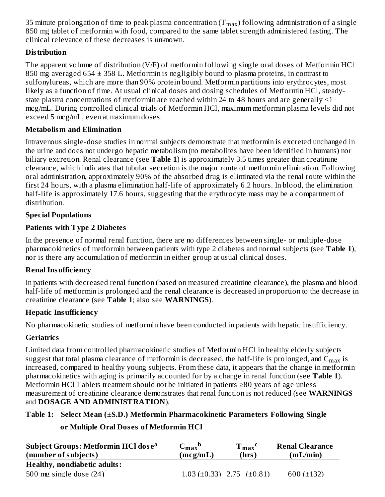35 minute prolongation of time to peak plasma concentration (T $_{\rm max}$ ) following administration of a single 850 mg tablet of metformin with food, compared to the same tablet strength administered fasting. The clinical relevance of these decreases is unknown. ...<sub>...</sub>. max

## **Distribution**

The apparent volume of distribution (V/F) of metformin following single oral doses of Metformin HCl 850 mg averaged 654  $\pm$  358 L. Metformin is negligibly bound to plasma proteins, in contrast to sulfonylureas, which are more than 90% protein bound. Metformin partitions into erythrocytes, most likely as a function of time. At usual clinical doses and dosing schedules of Metformin HCl, steadystate plasma concentrations of metformin are reached within 24 to 48 hours and are generally  $\leq 1$ mcg/mL. During controlled clinical trials of Metformin HCl, maximum metformin plasma levels did not exceed 5 mcg/mL, even at maximum doses.

## **Metabolism and Elimination**

Intravenous single-dose studies in normal subjects demonstrate that metformin is excreted unchanged in the urine and does not undergo hepatic metabolism (no metabolites have been identified in humans) nor biliary excretion. Renal clearance (see **Table 1**) is approximately 3.5 times greater than creatinine clearance, which indicates that tubular secretion is the major route of metformin elimination. Following oral administration, approximately 90% of the absorbed drug is eliminated via the renal route within the first 24 hours, with a plasma elimination half-life of approximately 6.2 hours. In blood, the elimination half-life is approximately 17.6 hours, suggesting that the erythrocyte mass may be a compartment of distribution.

## **Special Populations**

## **Patients with Type 2 Diabetes**

In the presence of normal renal function, there are no differences between single- or multiple-dose pharmacokinetics of metformin between patients with type 2 diabetes and normal subjects (see **Table 1**), nor is there any accumulation of metformin in either group at usual clinical doses.

## **Renal Insufficiency**

In patients with decreased renal function (based on measured creatinine clearance), the plasma and blood half-life of metformin is prolonged and the renal clearance is decreased in proportion to the decrease in creatinine clearance (see **Table 1**; also see **WARNINGS**).

# **Hepatic Insufficiency**

No pharmacokinetic studies of metformin have been conducted in patients with hepatic insufficiency.

# **Geriatrics**

Limited data from controlled pharmacokinetic studies of Metformin HCl in healthy elderly subjects suggest that total plasma clearance of metformin is decreased, the half-life is prolonged, and  $\mathsf{C}_{\max}$  is increased, compared to healthy young subjects. From these data, it appears that the change in metformin pharmacokinetics with aging is primarily accounted for by a change in renal function (see **Table 1**). Metformin HCl Tablets treatment should not be initiated in patients ≥80 years of age unless measurement of creatinine clearance demonstrates that renal function is not reduced (see **WARNINGS** and **DOSAGE AND ADMINISTRATION**).

# **Table 1: Select Mean (±S.D.) Metformin Pharmacokinetic Parameters Following Single**

# **or Multiple Oral Dos es of Metformin HCl**

| Subject Groups: Metformin HCl dose <sup>a</sup><br>(number of subjects) | $C_{\rm max}^{\rm b}$<br>(mcg/mL) | $T_{max}$ <sup>c</sup><br>(hrs)     | <b>Renal Clearance</b><br>(mL/min) |
|-------------------------------------------------------------------------|-----------------------------------|-------------------------------------|------------------------------------|
| <b>Healthy, nondiabetic adults:</b>                                     |                                   |                                     |                                    |
| 500 mg single dose (24)                                                 |                                   | $1.03 (\pm 0.33)$ 2.75 $(\pm 0.81)$ | 600 $(\pm 132)$                    |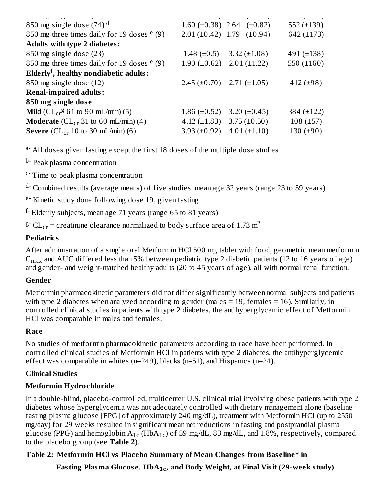|                                                           |                     | $- \cdots$ $- \cdots$ $- \cdots$ $- \cdots$ $- \cdots$ | $- - - - - - -$ |
|-----------------------------------------------------------|---------------------|--------------------------------------------------------|-----------------|
| 850 mg single dose $(74)$ <sup>d</sup>                    |                     | 1.60 $(\pm 0.38)$ 2.64 $(\pm 0.82)$                    | 552 $(\pm 139)$ |
| 850 mg three times daily for 19 doses <sup>e</sup> (9)    |                     | $2.01 (\pm 0.42)$ 1.79 ( $\pm 0.94$ )                  | 642 $(\pm 173)$ |
| <b>Adults with type 2 diabetes:</b>                       |                     |                                                        |                 |
| 850 mg single dose (23)                                   |                     | 1.48 $(\pm 0.5)$ 3.32 $(\pm 1.08)$                     | 491 $(\pm 138)$ |
| 850 mg three times daily for 19 doses <sup>e</sup> (9)    |                     | 1.90 $(\pm 0.62)$ 2.01 $(\pm 1.22)$                    | 550 $(\pm 160)$ |
| Elderly <sup>f</sup> , healthy nondiabetic adults:        |                     |                                                        |                 |
| 850 mg single dose (12)                                   |                     | $2.45 \ (\pm 0.70)$ $2.71 \ (\pm 1.05)$                | 412 $(\pm 98)$  |
| <b>Renal-impaired adults:</b>                             |                     |                                                        |                 |
| 850 mg single dose                                        |                     |                                                        |                 |
| <b>Mild</b> ( $CL_{cr}$ <sup>g</sup> 61 to 90 mL/min) (5) | 1.86 $(\pm 0.52)$   | 3.20 $(\pm 0.45)$                                      | 384 (±122)      |
| <b>Moderate</b> ( $CL_{cr}$ 31 to 60 mL/min) (4)          |                     | 4.12 $(\pm 1.83)$ 3.75 $(\pm 0.50)$                    | $108 (\pm 57)$  |
| <b>Severe</b> ( $CL_{cr}$ 10 to 30 mL/min) (6)            | $3.93 \ (\pm 0.92)$ | $4.01 (\pm 1.10)$                                      | 130 $(\pm 90)$  |
|                                                           |                     |                                                        |                 |

<sup>a-</sup> All doses given fasting except the first 18 doses of the multiple dose studies

<sup>b-</sup> Peak plasma concentration

<sup>c-</sup> Time to peak plasma concentration

<sup>d-</sup> Combined results (average means) of five studies: mean age 32 years (range 23 to 59 years)

e-Kinetic study done following dose 19, given fasting

 $^{\text{f-}}$  Elderly subjects, mean age 71 years (range 65 to 81 years)

<sup>g-</sup> CL<sub>cr</sub> = creatinine clearance normalized to body surface area of 1.73 m<sup>2</sup>

## **Pediatrics**

After administration of a single oral Metformin HCl 500 mg tablet with food, geometric mean metformin  $\rm{C_{max}}$  and AUC differed less than 5% between pediatric type 2 diabetic patients (12 to 16 years of age) and gender- and weight-matched healthy adults (20 to 45 years of age), all with normal renal function.

## **Gender**

Metformin pharmacokinetic parameters did not differ significantly between normal subjects and patients with type 2 diabetes when analyzed according to gender (males  $= 19$ , females  $= 16$ ). Similarly, in controlled clinical studies in patients with type 2 diabetes, the antihyperglycemic effect of Metformin HCl was comparable in males and females.

## **Race**

No studies of metformin pharmacokinetic parameters according to race have been performed. In controlled clinical studies of Metformin HCl in patients with type 2 diabetes, the antihyperglycemic effect was comparable in whites ( $n=249$ ), blacks ( $n=51$ ), and Hispanics ( $n=24$ ).

## **Clinical Studies**

## **Metformin Hydrochloride**

In a double-blind, placebo-controlled, multicenter U.S. clinical trial involving obese patients with type 2 diabetes whose hyperglycemia was not adequately controlled with dietary management alone (baseline fasting plasma glucose [FPG] of approximately 240 mg/dL), treatment with Metformin HCl (up to 2550 mg/day) for 29 weeks resulted in significant mean net reductions in fasting and postprandial plasma glucose (PPG) and hemoglobin  $\rm A_{1c}$  (Hb $\rm A_{1c}$ ) of 59 mg/dL, 83 mg/dL, and 1.8%, respectively, compared to the placebo group (see **Table 2**).

# **Table 2: Metformin HCl vs Placebo Summary of Mean Changes from Bas eline\* in**

**Fasting Plasma Glucos e, HbA , and Body Weight, at Final Visit (29-week study) 1c**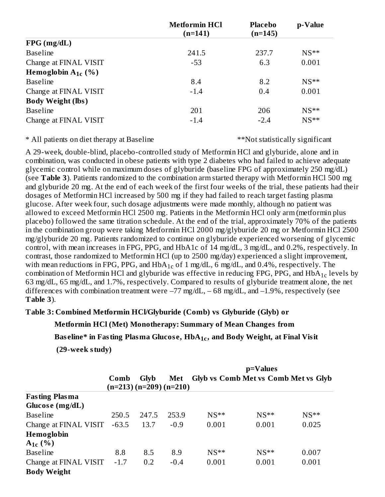|                          | <b>Metformin HCl</b> | <b>Placebo</b> | p-Value |
|--------------------------|----------------------|----------------|---------|
|                          | $(n=141)$            | $(n=145)$      |         |
| FPG(mg/dL)               |                      |                |         |
| <b>Baseline</b>          | 241.5                | 237.7          | $NS**$  |
| Change at FINAL VISIT    | $-53$                | 6.3            | 0.001   |
| Hemoglobin $A_{1c}$ (%)  |                      |                |         |
| <b>Baseline</b>          | 8.4                  | 8.2            | $NS**$  |
| Change at FINAL VISIT    | $-1.4$               | 0.4            | 0.001   |
| <b>Body Weight (lbs)</b> |                      |                |         |
| <b>Baseline</b>          | 201                  | 206            | $NS**$  |
| Change at FINAL VISIT    | $-1.4$               | $-2.4$         | $NS**$  |

\* All patients on diet therapy at Baseline \*\*\*Not statistically significant

A 29-week, double-blind, placebo-controlled study of Metformin HCl and glyburide, alone and in combination, was conducted in obese patients with type 2 diabetes who had failed to achieve adequate glycemic control while on maximum doses of glyburide (baseline FPG of approximately 250 mg/dL) (see **Table 3**). Patients randomized to the combination arm started therapy with Metformin HCl 500 mg and glyburide 20 mg. At the end of each week of the first four weeks of the trial, these patients had their dosages of Metformin HCl increased by 500 mg if they had failed to reach target fasting plasma glucose. After week four, such dosage adjustments were made monthly, although no patient was allowed to exceed Metformin HCl 2500 mg. Patients in the Metformin HCl only arm (metformin plus placebo) followed the same titration schedule. At the end of the trial, approximately 70% of the patients in the combination group were taking Metformin HCl 2000 mg/glyburide 20 mg or Metformin HCl 2500 mg/glyburide 20 mg. Patients randomized to continue on glyburide experienced worsening of glycemic control, with mean increases in FPG, PPG, and HbA1c of 14 mg/dL, 3 mg/dL, and 0.2%, respectively. In contrast, those randomized to Metformin HCl (up to 2500 mg/day) experienced a slight improvement, with mean reductions in FPG, PPG, and  $HbA_{1c}$  of 1 mg/dL, 6 mg/dL, and 0.4%, respectively. The combination of Metformin HCl and glyburide was effective in reducing FPG, PPG, and  $\text{HbA}_{1\text{c}}$  levels by 63 mg/dL, 65 mg/dL, and 1.7%, respectively. Compared to results of glyburide treatment alone, the net differences with combination treatment were  $-77$  mg/dL,  $-68$  mg/dL, and  $-1.9$ %, respectively (see **Table 3**).

#### **Table 3: Combined Metformin HCl/Glyburide (Comb) vs Glyburide (Glyb) or**

#### **Metformin HCl (Met) Monotherapy: Summary of Mean Changes from**

## **Bas eline\* in Fasting Plasma Glucos e, HbA , and Body Weight, at Final Visit 1c**

**(29-week study)**

|                       |                               |       |        |                                             | p=Values |        |
|-----------------------|-------------------------------|-------|--------|---------------------------------------------|----------|--------|
|                       | Comb                          | Glyb  | Met    | <b>Glyb vs Comb Met vs Comb Met vs Glyb</b> |          |        |
|                       | $(n=213)$ $(n=209)$ $(n=210)$ |       |        |                                             |          |        |
| <b>Fasting Plasma</b> |                               |       |        |                                             |          |        |
| Glucose (mg/dL)       |                               |       |        |                                             |          |        |
| <b>Baseline</b>       | 250.5                         | 247.5 | 253.9  | $NS**$                                      | $NS**$   | $NS**$ |
| Change at FINAL VISIT | $-63.5$                       | 13.7  | $-0.9$ | 0.001                                       | 0.001    | 0.025  |
| Hemoglobin            |                               |       |        |                                             |          |        |
| $A_{1c}$ (%)          |                               |       |        |                                             |          |        |
| <b>Baseline</b>       | 8.8                           | 8.5   | 8.9    | $NS**$                                      | $NS**$   | 0.007  |
| Change at FINAL VISIT | $-1.7$                        | 0.2   | $-0.4$ | 0.001                                       | 0.001    | 0.001  |
| <b>Body Weight</b>    |                               |       |        |                                             |          |        |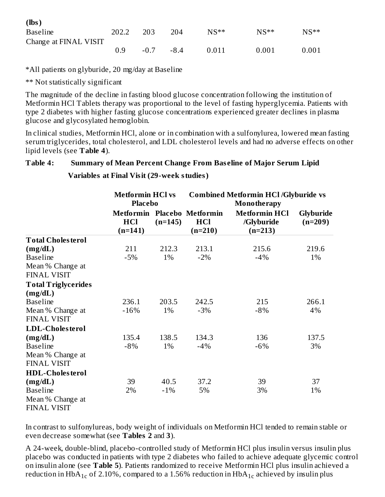| $(lbs)$               |       |        |        |        |        |        |
|-----------------------|-------|--------|--------|--------|--------|--------|
| <b>Baseline</b>       | 202.2 | 203    | 204    | $NS**$ | $NS**$ | $NS**$ |
| Change at FINAL VISIT |       |        |        |        |        |        |
|                       | 0.9   | $-0.7$ | $-8.4$ | 0.011  | 0.001  | 0.001  |

\*All patients on glyburide, 20 mg/day at Baseline

\*\* Not statistically significant

The magnitude of the decline in fasting blood glucose concentration following the institution of Metformin HCl Tablets therapy was proportional to the level of fasting hyperglycemia. Patients with type 2 diabetes with higher fasting glucose concentrations experienced greater declines in plasma glucose and glycosylated hemoglobin.

In clinical studies, Metformin HCl, alone or in combination with a sulfonylurea, lowered mean fasting serum triglycerides, total cholesterol, and LDL cholesterol levels and had no adverse effects on other lipid levels (see **Table 4**).

#### **Table 4: Summary of Mean Percent Change From Bas eline of Major Serum Lipid**

**Variables at Final Visit (29-week studies)**

|                                                                      | <b>Metformin HCl vs</b><br><b>Placebo</b> |             | <b>Combined Metformin HCl/Glyburide vs</b><br><b>Monotherapy</b> |                                                 |                        |
|----------------------------------------------------------------------|-------------------------------------------|-------------|------------------------------------------------------------------|-------------------------------------------------|------------------------|
|                                                                      | HCl<br>$(n=141)$                          | $(n=145)$   | Metformin Placebo Metformin<br>HCl<br>$(n=210)$                  | <b>Metformin HCl</b><br>/Glyburide<br>$(n=213)$ | Glyburide<br>$(n=209)$ |
| <b>Total Cholesterol</b>                                             |                                           |             |                                                                  |                                                 |                        |
| (mg/dL)                                                              | 211                                       | 212.3       | 213.1                                                            | 215.6                                           | 219.6                  |
| <b>Baseline</b>                                                      | $-5%$                                     | 1%          | $-2\%$                                                           | $-4%$                                           | 1%                     |
| Mean % Change at<br><b>FINAL VISIT</b>                               |                                           |             |                                                                  |                                                 |                        |
| <b>Total Triglycerides</b><br>(mg/dL)                                |                                           |             |                                                                  |                                                 |                        |
| <b>Baseline</b>                                                      | 236.1                                     | 203.5       | 242.5                                                            | 215                                             | 266.1                  |
| Mean % Change at<br><b>FINAL VISIT</b>                               | $-16%$                                    | 1%          | $-3%$                                                            | $-8%$                                           | 4%                     |
| <b>LDL-Cholesterol</b>                                               |                                           |             |                                                                  |                                                 |                        |
| (mg/dL)<br><b>Baseline</b><br>Mean % Change at<br><b>FINAL VISIT</b> | 135.4<br>$-8%$                            | 138.5<br>1% | 134.3<br>$-4%$                                                   | 136<br>$-6%$                                    | 137.5<br>3%            |
| <b>HDL-Cholesterol</b>                                               |                                           |             |                                                                  |                                                 |                        |
| (mg/dL)                                                              | 39                                        | 40.5        | 37.2                                                             | 39                                              | 37                     |
| <b>Baseline</b>                                                      | 2%                                        | $-1\%$      | 5%                                                               | 3%                                              | 1%                     |
| Mean % Change at<br><b>FINAL VISIT</b>                               |                                           |             |                                                                  |                                                 |                        |

In contrast to sulfonylureas, body weight of individuals on Metformin HCl tended to remain stable or even decrease somewhat (see **Tables 2** and **3**).

A 24-week, double-blind, placebo-controlled study of Metformin HCl plus insulin versus insulin plus placebo was conducted in patients with type 2 diabetes who failed to achieve adequate glycemic control on insulin alone (see **Table 5**). Patients randomized to receive Metformin HCl plus insulin achieved a reduction in Hb $A_{1c}$  of 2.10%, compared to a 1.56% reduction in Hb $A_{1c}$  achieved by insulin plus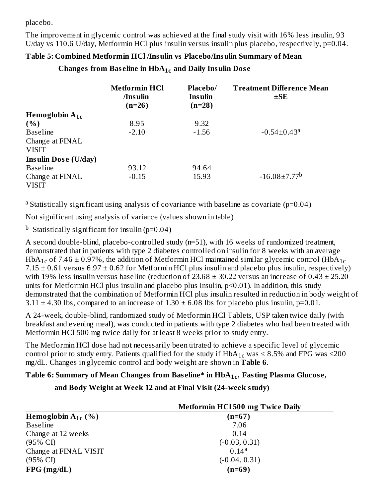The improvement in glycemic control was achieved at the final study visit with 16% less insulin, 93 U/day vs 110.6 U/day, Metformin HCl plus insulin versus insulin plus placebo, respectively, p=0.04.

# **Table 5: Combined Metformin HCl /Insulin vs Placebo/Insulin Summary of Mean**

|                                 | <b>Metformin HCl</b><br>/Insulin<br>$(n=26)$ | Placebo/<br><b>Insulin</b><br>$(n=28)$ | <b>Treatment Difference Mean</b><br>$\pm$ SE |
|---------------------------------|----------------------------------------------|----------------------------------------|----------------------------------------------|
| Hemoglobin $A_{1c}$             |                                              |                                        |                                              |
| (% )                            | 8.95                                         | 9.32                                   |                                              |
| <b>Baseline</b>                 | $-2.10$                                      | $-1.56$                                | $-0.54 \pm 0.43$ <sup>a</sup>                |
| Change at FINAL<br><b>VISIT</b> |                                              |                                        |                                              |
| <b>Insulin Dose (U/day)</b>     |                                              |                                        |                                              |
| <b>Baseline</b>                 | 93.12                                        | 94.64                                  |                                              |
| Change at FINAL<br><b>VISIT</b> | $-0.15$                                      | 15.93                                  | $-16.08 \pm 7.77$ <sup>b</sup>               |

Changes from Baseline in  $HbA_{1c}$  and Daily Insulin Dose

<sup>a</sup> Statistically significant using analysis of covariance with baseline as covariate (p=0.04)

Not significant using analysis of variance (values shown in table)

 $<sup>b</sup>$  Statistically significant for insulin (p=0.04)</sup>

A second double-blind, placebo-controlled study (n=51), with 16 weeks of randomized treatment, demonstrated that in patients with type 2 diabetes controlled on insulin for 8 weeks with an average HbA $_{1c}$  of 7.46  $\pm$  0.97%, the addition of Metformin HCl maintained similar glycemic control (HbA $_{1c}$  $7.15 \pm 0.61$  versus  $6.97 \pm 0.62$  for Metformin HCl plus insulin and placebo plus insulin, respectively) with 19% less insulin versus baseline (reduction of  $23.68 \pm 30.22$  versus an increase of  $0.43 \pm 25.20$ units for Metformin HCl plus insulin and placebo plus insulin, p<0.01). In addition, this study demonstrated that the combination of Metformin HCl plus insulin resulted in reduction in body weight of  $3.11 \pm 4.30$  lbs, compared to an increase of  $1.30 \pm 6.08$  lbs for placebo plus insulin, p=0.01.

A 24-week, double-blind, randomized study of Metformin HCl Tablets, USP taken twice daily (with breakfast and evening meal), was conducted in patients with type 2 diabetes who had been treated with Metformin HCl 500 mg twice daily for at least 8 weeks prior to study entry.

The Metformin HCl dose had not necessarily been titrated to achieve a specific level of glycemic control prior to study entry. Patients qualified for the study if  $HbA_{1c}$  was  $\leq 8.5\%$  and FPG was  $\leq$ 200 mg/dL. Changes in glycemic control and body weight are shown in **Table 6**.

# **Table 6: Summary of Mean Changes from Bas eline\* in HbA , Fasting Plasma Glucos e, 1c**

# **and Body Weight at Week 12 and at Final Visit (24-week study)**

|                         | <b>Metformin HCl 500 mg Twice Daily</b> |
|-------------------------|-----------------------------------------|
| Hemoglobin $A_{1c}$ (%) | $(n=67)$                                |
| <b>Baseline</b>         | 7.06                                    |
| Change at 12 weeks      | 0.14                                    |
| $(95\% \text{ CI})$     | $(-0.03, 0.31)$                         |
| Change at FINAL VISIT   | 0.14 <sup>a</sup>                       |
| $(95\% \text{ CI})$     | $(-0.04, 0.31)$                         |
| FPG(mg/dL)              | $(n=69)$                                |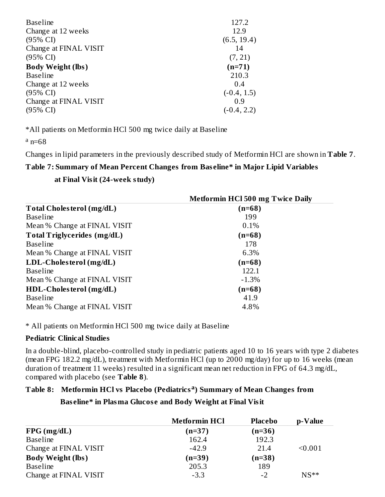| <b>Baseline</b>          | 127.2         |
|--------------------------|---------------|
| Change at 12 weeks       | 12.9          |
| $(95\% \text{ CI})$      | (6.5, 19.4)   |
| Change at FINAL VISIT    | 14            |
| $(95\% \text{ CI})$      | (7, 21)       |
| <b>Body Weight (lbs)</b> | $(n=71)$      |
| <b>Baseline</b>          | 210.3         |
| Change at 12 weeks       | 0.4           |
| $(95\% \text{ CI})$      | $(-0.4, 1.5)$ |
| Change at FINAL VISIT    | 0.9           |
| $(95\% \text{ CI})$      | $(-0.4, 2.2)$ |

\*All patients on Metformin HCl 500 mg twice daily at Baseline

 $a_{n=68}$ 

Changes in lipid parameters in the previously described study of Metformin HCl are shown in **Table 7**.

## **Table 7: Summary of Mean Percent Changes from Bas eline\* in Major Lipid Variables**

|                                    | <b>Metformin HCl 500 mg Twice Daily</b> |
|------------------------------------|-----------------------------------------|
| Total Cholesterol (mg/dL)          | $(n=68)$                                |
| <b>Baseline</b>                    | 199                                     |
| Mean % Change at FINAL VISIT       | 0.1%                                    |
| <b>Total Triglycerides (mg/dL)</b> | $(n=68)$                                |
| <b>Baseline</b>                    | 178                                     |
| Mean % Change at FINAL VISIT       | 6.3%                                    |
| $LDL-Choles$ terol (mg/dL)         | $(n=68)$                                |
| <b>Baseline</b>                    | 122.1                                   |
| Mean % Change at FINAL VISIT       | $-1.3%$                                 |
| HDL-Cholesterol (mg/dL)            | $(n=68)$                                |
| <b>Baseline</b>                    | 41.9                                    |
| Mean % Change at FINAL VISIT       | 4.8%                                    |

**at Final Visit (24-week study)**

\* All patients on Metformin HCl 500 mg twice daily at Baseline

#### **Pediatric Clinical Studies**

In a double-blind, placebo-controlled study in pediatric patients aged 10 to 16 years with type 2 diabetes (mean FPG 182.2 mg/dL), treatment with Metformin HCl (up to 2000 mg/day) for up to 16 weeks (mean duration of treatment 11 weeks) resulted in a significant mean net reduction in FPG of 64.3 mg/dL, compared with placebo (see **Table 8**).

# **Table 8: Metformin HCl vs Placebo (Pediatrics ) Summary of Mean Changes from a**

**Bas eline\* in Plasma Glucos e and Body Weight at Final Visit**

|                          | <b>Metformin HCl</b> | <b>Placebo</b> | p-Value |
|--------------------------|----------------------|----------------|---------|
| FPG(mg/dL)               | $(n=37)$             | $(n=36)$       |         |
| <b>Baseline</b>          | 162.4                | 192.3          |         |
| Change at FINAL VISIT    | $-42.9$              | 21.4           | < 0.001 |
| <b>Body Weight (lbs)</b> | $(n=39)$             | $(n=38)$       |         |
| <b>Baseline</b>          | 205.3                | 189            |         |
| Change at FINAL VISIT    | $-3.3$               | $-2$           | $NS**$  |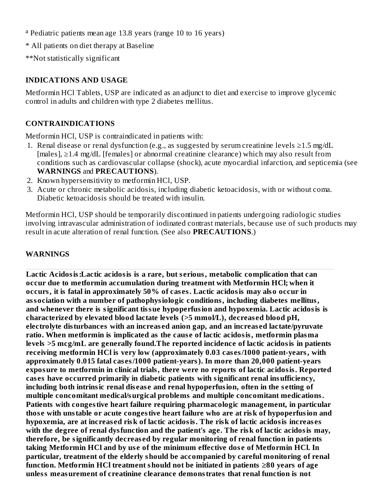<sup>a</sup> Pediatric patients mean age 13.8 years (range 10 to 16 years)

\* All patients on diet therapy at Baseline

\*\*Not statistically significant

#### **INDICATIONS AND USAGE**

Metformin HCl Tablets, USP are indicated as an adjunct to diet and exercise to improve glycemic control in adults and children with type 2 diabetes mellitus.

## **CONTRAINDICATIONS**

Metformin HCl, USP is contraindicated in patients with:

- 1. Renal disease or renal dysfunction (e.g., as suggested by serum creatinine levels ≥1.5 mg/dL [males], ≥1.4 mg/dL [females] or abnormal creatinine clearance) which may also result from conditions such as cardiovascular collapse (shock), acute myocardial infarction, and septicemia (see **WARNINGS** and **PRECAUTIONS**).
- 2. Known hypersensitivity to metformin HCl, USP.
- 3. Acute or chronic metabolic acidosis, including diabetic ketoacidosis, with or without coma. Diabetic ketoacidosis should be treated with insulin.

Metformin HCl, USP should be temporarily discontinued in patients undergoing radiologic studies involving intravascular administration of iodinated contrast materials, because use of such products may result in acute alteration of renal function. (See also **PRECAUTIONS**.)

## **WARNINGS**

**Lactic Acidosis:Lactic acidosis is a rare, but s erious, metabolic complication that can occur due to metformin accumulation during treatment with Metformin HCl; when it occurs, it is fatal in approximately 50% of cas es. Lactic acidosis may also occur in association with a number of pathophysiologic conditions, including diabetes mellitus, and whenever there is significant tissue hypoperfusion and hypoxemia. Lactic acidosis is characterized by elevated blood lactate levels (>5 mmol/L), decreas ed blood pH, electrolyte disturbances with an increas ed anion gap, and an increas ed lactate/pyruvate ratio. When metformin is implicated as the caus e of lactic acidosis, metformin plasma levels >5 mcg/mL are generally found.The reported incidence of lactic acidosis in patients receiving metformin HCl is very low (approximately 0.03 cas es/1000 patient-years, with approximately 0.015 fatal cas es/1000 patient-years). In more than 20,000 patient-years exposure to metformin in clinical trials, there were no reports of lactic acidosis. Reported cas es have occurred primarily in diabetic patients with significant renal insufficiency, including both intrinsic renal dis eas e and renal hypoperfusion, often in the s etting of multiple concomitant medical/surgical problems and multiple concomitant medications. Patients with congestive heart failure requiring pharmacologic management, in particular thos e with unstable or acute congestive heart failure who are at risk of hypoperfusion and hypoxemia, are at increas ed risk of lactic acidosis. The risk of lactic acidosis increas es with the degree of renal dysfunction and the patient's age. The risk of lactic acidosis may, therefore, be significantly decreas ed by regular monitoring of renal function in patients taking Metformin HCl and by us e of the minimum effective dos e of Metformin HCl. In particular, treatment of the elderly should be accompanied by careful monitoring of renal function. Metformin HCl treatment should not be initiated in patients ≥80 years of age unless measurement of creatinine clearance demonstrates that renal function is not**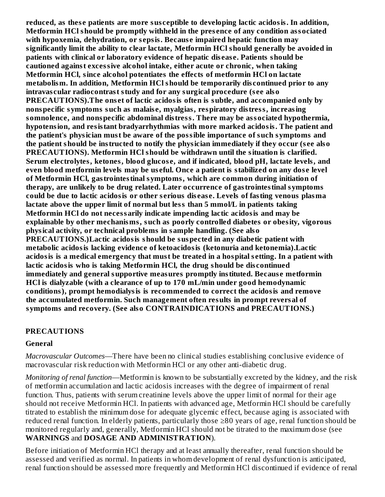**reduced, as thes e patients are more sus ceptible to developing lactic acidosis. In addition, Metformin HCl should be promptly withheld in the pres ence of any condition associated with hypoxemia, dehydration, or s epsis. Becaus e impaired hepatic function may significantly limit the ability to clear lactate, Metformin HCl should generally be avoided in patients with clinical or laboratory evidence of hepatic dis eas e. Patients should be cautioned against excessive alcohol intake, either acute or chronic, when taking Metformin HCl, since alcohol potentiates the effects of metformin HCl on lactate metabolism. In addition, Metformin HCl should be temporarily dis continued prior to any intravas cular radiocontrast study and for any surgical procedure (s ee also PRECAUTIONS). The onset of lactic acidosis often is subtle, and accompanied only by nonspecific symptoms such as malais e, myalgias, respiratory distress, increasing somnolence, and nonspecific abdominal distress. There may be associated hypothermia, hypotension, and resistant bradyarrhythmias with more marked acidosis. The patient and the patient's physician must be aware of the possible importance of such symptoms and the patient should be instructed to notify the physician immediately if they occur (s ee also PRECAUTIONS). Metformin HCl should be withdrawn until the situation is clarified. Serum electrolytes, ketones, blood glucos e, and if indicated, blood pH, lactate levels, and even blood metformin levels may be us eful. Once a patient is stabilized on any dos e level of Metformin HCl, gastrointestinal symptoms, which are common during initiation of therapy, are unlikely to be drug related. Later occurrence of gastrointestinal symptoms could be due to lactic acidosis or other s erious dis eas e. Levels of fasting venous plasma lactate above the upper limit of normal but less than 5 mmol/L in patients taking Metformin HCl do not necessarily indicate impending lactic acidosis and may be explainable by other mechanisms, such as poorly controlled diabetes or obesity, vigorous physical activity, or technical problems in sample handling. (See also PRECAUTIONS.)Lactic acidosis should be suspected in any diabetic patient with metabolic acidosis lacking evidence of ketoacidosis (ketonuria and ketonemia).Lactic acidosis is a medical emergency that must be treated in a hospital s etting. In a patient with lactic acidosis who is taking Metformin HCl, the drug should be dis continued immediately and general supportive measures promptly instituted. Becaus e metformin HCl is dialyzable (with a clearance of up to 170 mL/min under good hemodynamic conditions), prompt hemodialysis is recommended to correct the acidosis and remove the accumulated metformin. Such management often results in prompt reversal of symptoms and recovery. (See also CONTRAINDICATIONS and PRECAUTIONS.)**

#### **PRECAUTIONS**

#### **General**

*Macrovascular Outcomes*—There have been no clinical studies establishing conclusive evidence of macrovascular risk reduction with Metformin HCl or any other anti-diabetic drug.

*Monitoring of renal function*—Metformin is known to be substantially excreted by the kidney, and the risk of metformin accumulation and lactic acidosis increases with the degree of impairment of renal function. Thus, patients with serum creatinine levels above the upper limit of normal for their age should not receive Metformin HCl. In patients with advanced age, Metformin HCl should be carefully titrated to establish the minimum dose for adequate glycemic effect, because aging is associated with reduced renal function. In elderly patients, particularly those ≥80 years of age, renal function should be monitored regularly and, generally, Metformin HCl should not be titrated to the maximum dose (see **WARNINGS** and **DOSAGE AND ADMINISTRATION**).

Before initiation of Metformin HCl therapy and at least annually thereafter, renal function should be assessed and verified as normal. In patients in whom development of renal dysfunction is anticipated, renal function should be assessed more frequently and Metformin HCl discontinued if evidence of renal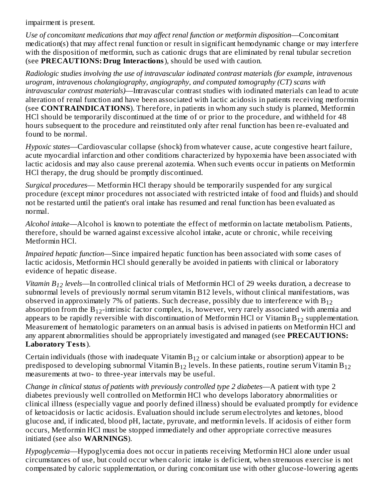impairment is present.

*Use of concomitant medications that may affect renal function or metformin disposition*—Concomitant medication(s) that may affect renal function or result in significant hemodynamic change or may interfere with the disposition of metformin, such as cationic drugs that are eliminated by renal tubular secretion (see **PRECAUTIONS: Drug Interactions**), should be used with caution.

*Radiologic studies involving the use of intravascular iodinated contrast materials (for example, intravenous urogram, intravenous cholangiography, angiography, and computed tomography (CT) scans with intravascular contrast materials)*—Intravascular contrast studies with iodinated materials can lead to acute alteration of renal function and have been associated with lactic acidosis in patients receiving metformin (see **CONTRAINDICATIONS**). Therefore, in patients in whom any such study is planned, Metformin HCl should be temporarily discontinued at the time of or prior to the procedure, and withheld for 48 hours subsequent to the procedure and reinstituted only after renal function has been re-evaluated and found to be normal.

*Hypoxic states*—Cardiovascular collapse (shock) from whatever cause, acute congestive heart failure, acute myocardial infarction and other conditions characterized by hypoxemia have been associated with lactic acidosis and may also cause prerenal azotemia. When such events occur in patients on Metformin HCl therapy, the drug should be promptly discontinued.

*Surgical procedures*— Metformin HCl therapy should be temporarily suspended for any surgical procedure (except minor procedures not associated with restricted intake of food and fluids) and should not be restarted until the patient's oral intake has resumed and renal function has been evaluated as normal.

*Alcohol intake*—Alcohol is known to potentiate the effect of metformin on lactate metabolism. Patients, therefore, should be warned against excessive alcohol intake, acute or chronic, while receiving Metformin HCl.

*Impaired hepatic function*—Since impaired hepatic function has been associated with some cases of lactic acidosis, Metformin HCl should generally be avoided in patients with clinical or laboratory evidence of hepatic disease.

*Vitamin B levels*—In controlled clinical trials of Metformin HCl of 29 weeks duration, a decrease to *12* subnormal levels of previously normal serum vitamin B12 levels, without clinical manifestations, was observed in approximately 7% of patients. Such decrease, possibly due to interference with  $\rm B_{12}$ absorption from the  $\rm B_{12}$ -intrinsic factor complex, is, however, very rarely associated with anemia and appears to be rapidly reversible with discontinuation of Metformin HCl or Vitamin  $\rm B_{12}$  supplementation. Measurement of hematologic parameters on an annual basis is advised in patients on Metformin HCl and any apparent abnormalities should be appropriately investigated and managed (see **PRECAUTIONS: Laboratory Tests**).

Certain individuals (those with inadequate Vitamin  $B_{12}$  or calcium intake or absorption) appear to be predisposed to developing subnormal Vitamin B $_{12}$  levels. In these patients, routine serum Vitamin B $_{12}$ measurements at two- to three-year intervals may be useful.

*Change in clinical status of patients with previously controlled type 2 diabetes*—A patient with type 2 diabetes previously well controlled on Metformin HCl who develops laboratory abnormalities or clinical illness (especially vague and poorly defined illness) should be evaluated promptly for evidence of ketoacidosis or lactic acidosis. Evaluation should include serum electrolytes and ketones, blood glucose and, if indicated, blood pH, lactate, pyruvate, and metformin levels. If acidosis of either form occurs, Metformin HCl must be stopped immediately and other appropriate corrective measures initiated (see also **WARNINGS**).

*Hypoglycemia*—Hypoglycemia does not occur in patients receiving Metformin HCl alone under usual circumstances of use, but could occur when caloric intake is deficient, when strenuous exercise is not compensated by caloric supplementation, or during concomitant use with other glucose-lowering agents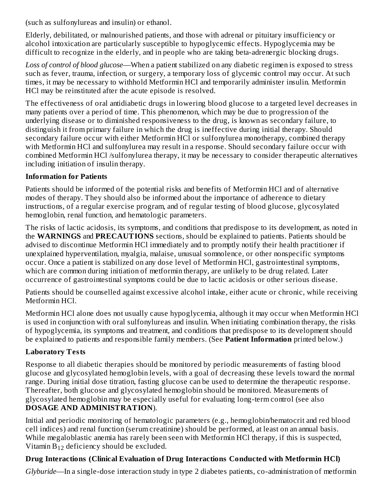(such as sulfonylureas and insulin) or ethanol.

Elderly, debilitated, or malnourished patients, and those with adrenal or pituitary insufficiency or alcohol intoxication are particularly susceptible to hypoglycemic effects. Hypoglycemia may be difficult to recognize in the elderly, and in people who are taking beta-adrenergic blocking drugs.

*Loss of control of blood glucose*—When a patient stabilized on any diabetic regimen is exposed to stress such as fever, trauma, infection, or surgery, a temporary loss of glycemic control may occur. At such times, it may be necessary to withhold Metformin HCl and temporarily administer insulin. Metformin HCl may be reinstituted after the acute episode is resolved.

The effectiveness of oral antidiabetic drugs in lowering blood glucose to a targeted level decreases in many patients over a period of time. This phenomenon, which may be due to progression of the underlying disease or to diminished responsiveness to the drug, is known as secondary failure, to distinguish it from primary failure in which the drug is ineffective during initial therapy. Should secondary failure occur with either Metformin HCl or sulfonylurea monotherapy, combined therapy with Metformin HCl and sulfonylurea may result in a response. Should secondary failure occur with combined Metformin HCl /sulfonylurea therapy, it may be necessary to consider therapeutic alternatives including initiation of insulin therapy.

#### **Information for Patients**

Patients should be informed of the potential risks and benefits of Metformin HCl and of alternative modes of therapy. They should also be informed about the importance of adherence to dietary instructions, of a regular exercise program, and of regular testing of blood glucose, glycosylated hemoglobin, renal function, and hematologic parameters.

The risks of lactic acidosis, its symptoms, and conditions that predispose to its development, as noted in the **WARNINGS** and **PRECAUTIONS** sections, should be explained to patients. Patients should be advised to discontinue Metformin HCl immediately and to promptly notify their health practitioner if unexplained hyperventilation, myalgia, malaise, unusual somnolence, or other nonspecific symptoms occur. Once a patient is stabilized on any dose level of Metformin HCl, gastrointestinal symptoms, which are common during initiation of metformin therapy, are unlikely to be drug related. Later occurrence of gastrointestinal symptoms could be due to lactic acidosis or other serious disease.

Patients should be counselled against excessive alcohol intake, either acute or chronic, while receiving Metformin HCl.

Metformin HCl alone does not usually cause hypoglycemia, although it may occur when Metformin HCl is used in conjunction with oral sulfonylureas and insulin. When initiating combination therapy, the risks of hypoglycemia, its symptoms and treatment, and conditions that predispose to its development should be explained to patients and responsible family members. (See **Patient Information** printed below.)

## **Laboratory Tests**

Response to all diabetic therapies should be monitored by periodic measurements of fasting blood glucose and glycosylated hemoglobin levels, with a goal of decreasing these levels toward the normal range. During initial dose titration, fasting glucose can be used to determine the therapeutic response. Thereafter, both glucose and glycosylated hemoglobin should be monitored. Measurements of glycosylated hemoglobin may be especially useful for evaluating long-term control (see also **DOSAGE AND ADMINISTRATION**).

Initial and periodic monitoring of hematologic parameters (e.g., hemoglobin/hematocrit and red blood cell indices) and renal function (serum creatinine) should be performed, at least on an annual basis. While megaloblastic anemia has rarely been seen with Metformin HCl therapy, if this is suspected, Vitamin  $B_{12}$  deficiency should be excluded.

# **Drug Interactions (Clinical Evaluation of Drug Interactions Conducted with Metformin HCl)**

*Glyburide*—In a single-dose interaction study in type 2 diabetes patients, co-administration of metformin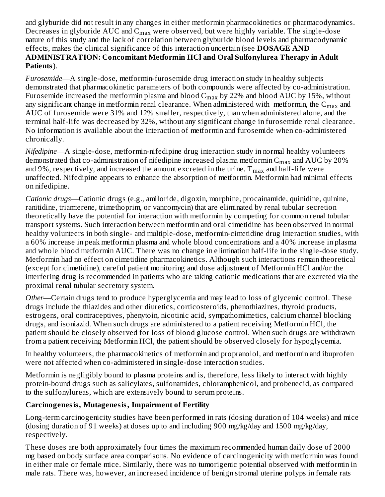and glyburide did not result in any changes in either metformin pharmacokinetics or pharmacodynamics. Decreases in glyburide  $\rm AUC$  and  $\rm C_{max}$  were observed, but were highly variable. The single-dose nature of this study and the lack of correlation between glyburide blood levels and pharmacodynamic effects, makes the clinical significance of this interaction uncertain (see **DOSAGE AND ADMINISTRATION: Concomitant Metformin HCl and Oral Sulfonylurea Therapy in Adult Patients**).

*Furosemide*—A single-dose, metformin-furosemide drug interaction study in healthy subjects demonstrated that pharmacokinetic parameters of both compounds were affected by co-administration. Furosemide increased the metformin plasma and blood  $\rm{C_{max}}$  by 22% and blood  $\rm{AUC}$  by 15%, without any significant change in metformin renal clearance. When administered with  $\rm{\,metformin, the\ C_{max}}$  and AUC of furosemide were 31% and 12% smaller, respectively, than when administered alone, and the terminal half-life was decreased by 32%, without any significant change in furosemide renal clearance. No information is available about the interaction of metformin and furosemide when co-administered chronically.

*Nifedipine*—A single-dose, metformin-nifedipine drug interaction study in normal healthy volunteers demonstrated that co-administration of nifedipine increased plasma metformin  $\rm{C_{max}}$  and  $\rm{AUC}$  by 20% and 9%, respectively, and increased the amount excreted in the urine.  $\rm T_{max}$  and half-life were unaffected. Nifedipine appears to enhance the absorption of metformin. Metformin had minimal effects on nifedipine.

*Cationic drugs*—Cationic drugs (e.g., amiloride, digoxin, morphine, procainamide, quinidine, quinine, ranitidine, triamterene, trimethoprim, or vancomycin) that are eliminated by renal tubular secretion theoretically have the potential for interaction with metformin by competing for common renal tubular transport systems. Such interaction between metformin and oral cimetidine has been observed in normal healthy volunteers in both single- and multiple-dose, metformin-cimetidine drug interaction studies, with a 60% increase in peak metformin plasma and whole blood concentrations and a 40% increase in plasma and whole blood metformin AUC. There was no change in elimination half-life in the single-dose study. Metformin had no effect on cimetidine pharmacokinetics. Although such interactions remain theoretical (except for cimetidine), careful patient monitoring and dose adjustment of Metformin HCl and/or the interfering drug is recommended in patients who are taking cationic medications that are excreted via the proximal renal tubular secretory system.

*Other*—Certain drugs tend to produce hyperglycemia and may lead to loss of glycemic control. These drugs include the thiazides and other diuretics, corticosteroids, phenothiazines, thyroid products, estrogens, oral contraceptives, phenytoin, nicotinic acid, sympathomimetics, calcium channel blocking drugs, and isoniazid. When such drugs are administered to a patient receiving Metformin HCl, the patient should be closely observed for loss of blood glucose control. When such drugs are withdrawn from a patient receiving Metformin HCl, the patient should be observed closely for hypoglycemia.

In healthy volunteers, the pharmacokinetics of metformin and propranolol, and metformin and ibuprofen were not affected when co-administered in single-dose interaction studies.

Metformin is negligibly bound to plasma proteins and is, therefore, less likely to interact with highly protein-bound drugs such as salicylates, sulfonamides, chloramphenicol, and probenecid, as compared to the sulfonylureas, which are extensively bound to serum proteins.

## **Carcinogenesis, Mutagenesis, Impairment of Fertility**

Long-term carcinogenicity studies have been performed in rats (dosing duration of 104 weeks) and mice (dosing duration of 91 weeks) at doses up to and including 900 mg/kg/day and 1500 mg/kg/day, respectively.

These doses are both approximately four times the maximum recommended human daily dose of 2000 mg based on body surface area comparisons. No evidence of carcinogenicity with metformin was found in either male or female mice. Similarly, there was no tumorigenic potential observed with metformin in male rats. There was, however, an increased incidence of benign stromal uterine polyps in female rats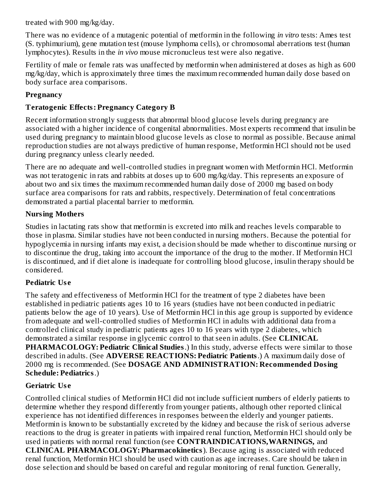treated with 900 mg/kg/day.

There was no evidence of a mutagenic potential of metformin in the following *in vitro* tests: Ames test (S. typhimurium), gene mutation test (mouse lymphoma cells), or chromosomal aberrations test (human lymphocytes). Results in the *in vivo* mouse micronucleus test were also negative.

Fertility of male or female rats was unaffected by metformin when administered at doses as high as 600 mg/kg/day, which is approximately three times the maximum recommended human daily dose based on body surface area comparisons.

## **Pregnancy**

## **Teratogenic Effects: Pregnancy Category B**

Recent information strongly suggests that abnormal blood glucose levels during pregnancy are associated with a higher incidence of congenital abnormalities. Most experts recommend that insulin be used during pregnancy to maintain blood glucose levels as close to normal as possible. Because animal reproduction studies are not always predictive of human response, Metformin HCl should not be used during pregnancy unless clearly needed.

There are no adequate and well-controlled studies in pregnant women with Metformin HCl. Metformin was not teratogenic in rats and rabbits at doses up to 600 mg/kg/day. This represents an exposure of about two and six times the maximum recommended human daily dose of 2000 mg based on body surface area comparisons for rats and rabbits, respectively. Determination of fetal concentrations demonstrated a partial placental barrier to metformin.

## **Nursing Mothers**

Studies in lactating rats show that metformin is excreted into milk and reaches levels comparable to those in plasma. Similar studies have not been conducted in nursing mothers. Because the potential for hypoglycemia in nursing infants may exist, a decision should be made whether to discontinue nursing or to discontinue the drug, taking into account the importance of the drug to the mother. If Metformin HCl is discontinued, and if diet alone is inadequate for controlling blood glucose, insulin therapy should be considered.

## **Pediatric Us e**

The safety and effectiveness of Metformin HCl for the treatment of type 2 diabetes have been established in pediatric patients ages 10 to 16 years (studies have not been conducted in pediatric patients below the age of 10 years). Use of Metformin HCl in this age group is supported by evidence from adequate and well-controlled studies of Metformin HCl in adults with additional data from a controlled clinical study in pediatric patients ages 10 to 16 years with type 2 diabetes, which demonstrated a similar response in glycemic control to that seen in adults. (See **CLINICAL PHARMACOLOGY: Pediatric Clinical Studies**.) In this study, adverse effects were similar to those described in adults. (See **ADVERSE REACTIONS: Pediatric Patients**.) A maximum daily dose of 2000 mg is recommended. (See **DOSAGE AND ADMINISTRATION: Recommended Dosing Schedule: Pediatrics**.)

## **Geriatric Us e**

Controlled clinical studies of Metformin HCl did not include sufficient numbers of elderly patients to determine whether they respond differently from younger patients, although other reported clinical experience has not identified differences in responses between the elderly and younger patients. Metformin is known to be substantially excreted by the kidney and because the risk of serious adverse reactions to the drug is greater in patients with impaired renal function, Metformin HCl should only be used in patients with normal renal function (see **CONTRAINDICATIONS,WARNINGS,** and **CLINICAL PHARMACOLOGY: Pharmacokinetics**). Because aging is associated with reduced renal function, Metformin HCl should be used with caution as age increases. Care should be taken in dose selection and should be based on careful and regular monitoring of renal function. Generally,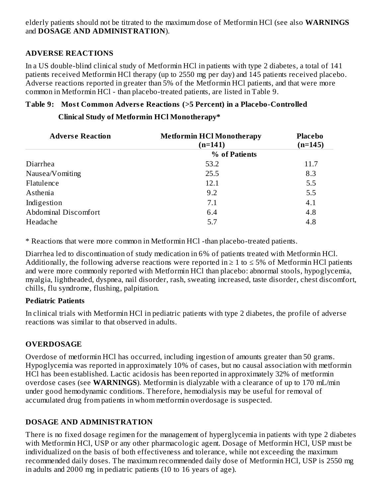elderly patients should not be titrated to the maximum dose of Metformin HCl (see also **WARNINGS** and **DOSAGE AND ADMINISTRATION**).

#### **ADVERSE REACTIONS**

In a US double-blind clinical study of Metformin HCl in patients with type 2 diabetes, a total of 141 patients received Metformin HCl therapy (up to 2550 mg per day) and 145 patients received placebo. Adverse reactions reported in greater than 5% of the Metformin HCl patients, and that were more common in Metformin HCl - than placebo-treated patients, are listed in Table 9.

#### **Table 9: Most Common Advers e Reactions (>5 Percent) in a Placebo-Controlled**

| <b>Adverse Reaction</b>     | <b>Metformin HCl Monotherapy</b><br>$(n=141)$ | <b>Placebo</b><br>$(n=145)$ |  |
|-----------------------------|-----------------------------------------------|-----------------------------|--|
|                             | % of Patients                                 |                             |  |
| Diarrhea                    | 53.2                                          | 11.7                        |  |
| Nausea/Vomiting             | 25.5                                          | 8.3                         |  |
| Flatulence                  | 12.1                                          | 5.5                         |  |
| Asthenia                    | 9.2                                           | 5.5                         |  |
| Indigestion                 | 7.1                                           | 4.1                         |  |
| <b>Abdominal Discomfort</b> | 6.4                                           | 4.8                         |  |
| Headache                    | 5.7                                           | 4.8                         |  |

#### **Clinical Study of Metformin HCl Monotherapy\***

\* Reactions that were more common in Metformin HCl -than placebo-treated patients.

Diarrhea led to discontinuation of study medication in 6% of patients treated with Metformin HCl. Additionally, the following adverse reactions were reported in  $\geq 1$  to  $\leq 5\%$  of Metformin HCl patients and were more commonly reported with Metformin HCl than placebo: abnormal stools, hypoglycemia, myalgia, lightheaded, dyspnea, nail disorder, rash, sweating increased, taste disorder, chest discomfort, chills, flu syndrome, flushing, palpitation.

#### **Pediatric Patients**

In clinical trials with Metformin HCl in pediatric patients with type 2 diabetes, the profile of adverse reactions was similar to that observed in adults.

## **OVERDOSAGE**

Overdose of metformin HCl has occurred, including ingestion of amounts greater than 50 grams. Hypoglycemia was reported in approximately 10% of cases, but no causal association with metformin HCl has been established. Lactic acidosis has been reported in approximately 32% of metformin overdose cases (see **WARNINGS**). Metformin is dialyzable with a clearance of up to 170 mL/min under good hemodynamic conditions. Therefore, hemodialysis may be useful for removal of accumulated drug from patients in whom metformin overdosage is suspected.

## **DOSAGE AND ADMINISTRATION**

There is no fixed dosage regimen for the management of hyperglycemia in patients with type 2 diabetes with Metformin HCl, USP or any other pharmacologic agent. Dosage of Metformin HCl, USP must be individualized on the basis of both effectiveness and tolerance, while not exceeding the maximum recommended daily doses. The maximum recommended daily dose of Metformin HCl, USP is 2550 mg in adults and 2000 mg in pediatric patients (10 to 16 years of age).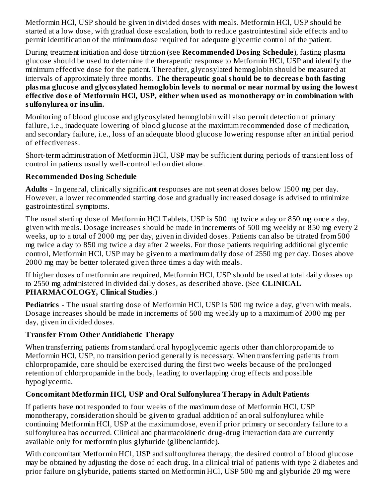Metformin HCl, USP should be given in divided doses with meals. Metformin HCl, USP should be started at a low dose, with gradual dose escalation, both to reduce gastrointestinal side effects and to permit identification of the minimum dose required for adequate glycemic control of the patient.

During treatment initiation and dose titration (see **Recommended Dosing Schedule**), fasting plasma glucose should be used to determine the therapeutic response to Metformin HCl, USP and identify the minimum effective dose for the patient. Thereafter, glycosylated hemoglobin should be measured at intervals of approximately three months. **The therapeutic goal should be to decreas e both fasting plasma glucos e and glycosylated hemoglobin levels to normal or near normal by using the lowest effective dos e of Metformin HCl, USP, either when us ed as monotherapy or in combination with sulfonylurea or insulin.**

Monitoring of blood glucose and glycosylated hemoglobin will also permit detection of primary failure, i.e., inadequate lowering of blood glucose at the maximum recommended dose of medication, and secondary failure, i.e., loss of an adequate blood glucose lowering response after an initial period of effectiveness.

Short-term administration of Metformin HCl, USP may be sufficient during periods of transient loss of control in patients usually well-controlled on diet alone.

#### **Recommended Dosing Schedule**

**Adults** - In general, clinically significant responses are not seen at doses below 1500 mg per day. However, a lower recommended starting dose and gradually increased dosage is advised to minimize gastrointestinal symptoms.

The usual starting dose of Metformin HCl Tablets, USP is 500 mg twice a day or 850 mg once a day, given with meals. Dosage increases should be made in increments of 500 mg weekly or 850 mg every 2 weeks, up to a total of 2000 mg per day, given in divided doses. Patients can also be titrated from 500 mg twice a day to 850 mg twice a day after 2 weeks. For those patients requiring additional glycemic control, Metformin HCl, USP may be given to a maximum daily dose of 2550 mg per day. Doses above 2000 mg may be better tolerated given three times a day with meals.

If higher doses of metformin are required, Metformin HCl, USP should be used at total daily doses up to 2550 mg administered in divided daily doses, as described above. (See **CLINICAL PHARMACOLOGY, Clinical Studies**.)

**Pediatrics** - The usual starting dose of Metformin HCl, USP is 500 mg twice a day, given with meals. Dosage increases should be made in increments of 500 mg weekly up to a maximum of 2000 mg per day, given in divided doses.

## **Transfer From Other Antidiabetic Therapy**

When transferring patients from standard oral hypoglycemic agents other than chlorpropamide to Metformin HCl, USP, no transition period generally is necessary. When transferring patients from chlorpropamide, care should be exercised during the first two weeks because of the prolonged retention of chlorpropamide in the body, leading to overlapping drug effects and possible hypoglycemia.

## **Concomitant Metformin HCl, USP and Oral Sulfonylurea Therapy in Adult Patients**

If patients have not responded to four weeks of the maximum dose of Metformin HCl, USP monotherapy, consideration should be given to gradual addition of an oral sulfonylurea while continuing Metformin HCl, USP at the maximum dose, even if prior primary or secondary failure to a sulfonylurea has occurred. Clinical and pharmacokinetic drug-drug interaction data are currently available only for metformin plus glyburide (glibenclamide).

With concomitant Metformin HCl, USP and sulfonylurea therapy, the desired control of blood glucose may be obtained by adjusting the dose of each drug. In a clinical trial of patients with type 2 diabetes and prior failure on glyburide, patients started on Metformin HCl, USP 500 mg and glyburide 20 mg were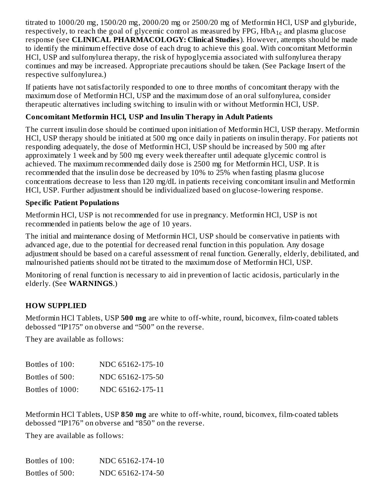titrated to 1000/20 mg, 1500/20 mg, 2000/20 mg or 2500/20 mg of Metformin HCl, USP and glyburide, respectively, to reach the goal of glycemic control as measured by FPG,  $\text{HbA}_\text{1c}$  and plasma glucose response (see **CLINICAL PHARMACOLOGY: Clinical Studies**). However, attempts should be made to identify the minimum effective dose of each drug to achieve this goal. With concomitant Metformin HCl, USP and sulfonylurea therapy, the risk of hypoglycemia associated with sulfonylurea therapy continues and may be increased. Appropriate precautions should be taken. (See Package Insert of the respective sulfonylurea.)

If patients have not satisfactorily responded to one to three months of concomitant therapy with the maximum dose of Metformin HCl, USP and the maximum dose of an oral sulfonylurea, consider therapeutic alternatives including switching to insulin with or without Metformin HCl, USP.

#### **Concomitant Metformin HCl, USP and Insulin Therapy in Adult Patients**

The current insulin dose should be continued upon initiation of Metformin HCl, USP therapy. Metformin HCl, USP therapy should be initiated at 500 mg once daily in patients on insulin therapy. For patients not responding adequately, the dose of Metformin HCl, USP should be increased by 500 mg after approximately 1 week and by 500 mg every week thereafter until adequate glycemic control is achieved. The maximum recommended daily dose is 2500 mg for Metformin HCl, USP. It is recommended that the insulin dose be decreased by 10% to 25% when fasting plasma glucose concentrations decrease to less than 120 mg/dL in patients receiving concomitant insulin and Metformin HCl, USP. Further adjustment should be individualized based on glucose-lowering response.

#### **Specific Patient Populations**

Metformin HCl, USP is not recommended for use in pregnancy. Metformin HCl, USP is not recommended in patients below the age of 10 years.

The initial and maintenance dosing of Metformin HCl, USP should be conservative in patients with advanced age, due to the potential for decreased renal function in this population. Any dosage adjustment should be based on a careful assessment of renal function. Generally, elderly, debilitated, and malnourished patients should not be titrated to the maximum dose of Metformin HCl, USP.

Monitoring of renal function is necessary to aid in prevention of lactic acidosis, particularly in the elderly. (See **WARNINGS**.)

## **HOW SUPPLIED**

Metformin HCl Tablets, USP **500 mg** are white to off-white, round, biconvex, film-coated tablets debossed "IP175" on obverse and "500" on the reverse.

They are available as follows:

| Bottles of 100:  | NDC 65162-175-10 |
|------------------|------------------|
| Bottles of 500:  | NDC 65162-175-50 |
| Bottles of 1000: | NDC 65162-175-11 |

Metformin HCl Tablets, USP **850 mg** are white to off-white, round, biconvex, film-coated tablets debossed "IP176" on obverse and "850" on the reverse.

They are available as follows:

Bottles of 100: NDC 65162-174-10 Bottles of 500: NDC 65162-174-50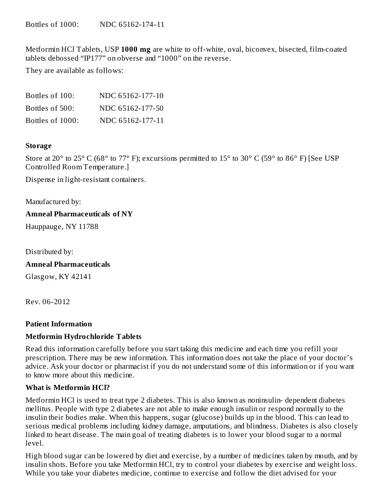Metformin HCl Tablets, USP **1000 mg** are white to off-white, oval, biconvex, bisected, film-coated tablets debossed "IP177" on obverse and "1000" on the reverse.

They are available as follows:

| Bottles of 100:  | NDC 65162-177-10 |
|------------------|------------------|
| Bottles of 500:  | NDC 65162-177-50 |
| Bottles of 1000: | NDC 65162-177-11 |

#### **Storage**

Store at 20 $\degree$  to 25 $\degree$  C (68 $\degree$  to 77 $\degree$  F); excursions permitted to 15 $\degree$  to 30 $\degree$  C (59 $\degree$  to 86 $\degree$  F) [See USP Controlled Room Temperature.]

Dispense in light-resistant containers.

Manufactured by:

#### **Amneal Pharmaceuticals of NY**

Hauppauge, NY 11788

Distributed by:

#### **Amneal Pharmaceuticals**

Glasgow, KY 42141

Rev. 06-2012

#### **Patient Information**

#### **Metformin Hydrochloride Tablets**

Read this information carefully before you start taking this medicine and each time you refill your prescription. There may be new information. This information does not take the place of your doctor's advice. Ask your doctor or pharmacist if you do not understand some of this information or if you want to know more about this medicine.

#### **What is Metformin HCl?**

Metformin HCl is used to treat type 2 diabetes. This is also known as noninsulin- dependent diabetes mellitus. People with type 2 diabetes are not able to make enough insulin or respond normally to the insulin their bodies make. When this happens, sugar (glucose) builds up in the blood. This can lead to serious medical problems including kidney damage, amputations, and blindness. Diabetes is also closely linked to heart disease. The main goal of treating diabetes is to lower your blood sugar to a normal level.

High blood sugar can be lowered by diet and exercise, by a number of medicines taken by mouth, and by insulin shots. Before you take Metformin HCl, try to control your diabetes by exercise and weight loss. While you take your diabetes medicine, continue to exercise and follow the diet advised for your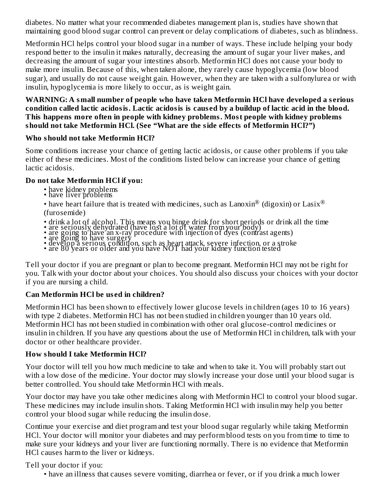diabetes. No matter what your recommended diabetes management plan is, studies have shown that maintaining good blood sugar control can prevent or delay complications of diabetes, such as blindness.

Metformin HCl helps control your blood sugar in a number of ways. These include helping your body respond better to the insulin it makes naturally, decreasing the amount of sugar your liver makes, and decreasing the amount of sugar your intestines absorb. Metformin HCl does not cause your body to make more insulin. Because of this, when taken alone, they rarely cause hypoglycemia (low blood sugar), and usually do not cause weight gain. However, when they are taken with a sulfonylurea or with insulin, hypoglycemia is more likely to occur, as is weight gain.

**WARNING: A small number of people who have taken Metformin HCl have developed a s erious** condition called lactic acidosis. Lactic acidosis is caused by a buildup of lactic acid in the blood. **This happens more often in people with kidney problems. Most people with kidney problems should not take Metformin HCl. (See "What are the side effects of Metformin HCl?")**

#### **Who should not take Metformin HCl?**

Some conditions increase your chance of getting lactic acidosis, or cause other problems if you take either of these medicines. Most of the conditions listed below can increase your chance of getting lactic acidosis.

#### **Do not take Metformin HCl if you:**

- have kidney problems
- have liver problems
- have heart failure that is treated with medicines, such as Lanoxin® (digoxin) or Lasix® (furosemide)
- drink a lot of alcohol. This means you binge drink for short periods or drink all the time
- are seriously dehydrated (have lost a lot of water from your body) • are going to have an x-ray procedure with injection of dyes (contrast agents)
- are going to have surgery
- develop a serious condition, such as heart attack, severe infection, or a stroke
- are 80 years or older and you have NOT had your kidney function tested

Tell your doctor if you are pregnant or plan to become pregnant. Metformin HCl may not be right for you. Talk with your doctor about your choices. You should also discuss your choices with your doctor if you are nursing a child.

#### **Can Metformin HCl be us ed in children?**

Metformin HCl has been shown to effectively lower glucose levels in children (ages 10 to 16 years) with type 2 diabetes. Metformin HCl has not been studied in children younger than 10 years old. Metformin HCl has not been studied in combination with other oral glucose-control medicines or insulin in children. If you have any questions about the use of Metformin HCl in children, talk with your doctor or other healthcare provider.

#### **How should I take Metformin HCl?**

Your doctor will tell you how much medicine to take and when to take it. You will probably start out with a low dose of the medicine. Your doctor may slowly increase your dose until your blood sugar is better controlled. You should take Metformin HCl with meals.

Your doctor may have you take other medicines along with Metformin HCl to control your blood sugar. These medicines may include insulin shots. Taking Metformin HCl with insulin may help you better control your blood sugar while reducing the insulin dose.

Continue your exercise and diet program and test your blood sugar regularly while taking Metformin HCl. Your doctor will monitor your diabetes and may perform blood tests on you from time to time to make sure your kidneys and your liver are functioning normally. There is no evidence that Metformin HCl causes harm to the liver or kidneys.

## Tell your doctor if you:

• have an illness that causes severe vomiting, diarrhea or fever, or if you drink a much lower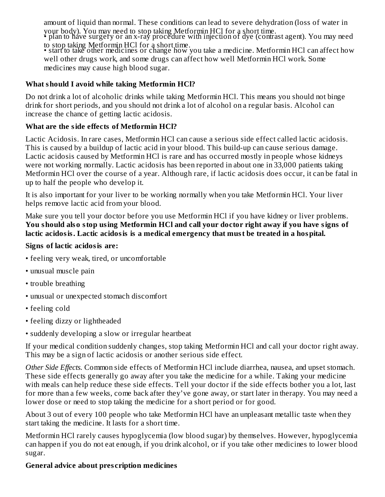amount of liquid than normal. These conditions can lead to severe dehydration (loss of water in your body). You may need to stop taking Metformin HCl for a short time.

• plan to have surgery or an x-ray procedure with injection of dye (contrast agent). You may need to stop taking Metformin HCl for a short time.

• start to take other medicines or change how you take a medicine. Metformin HCl can affect how well other drugs work, and some drugs can affect how well Metformin HCl work. Some medicines may cause high blood sugar.

## **What should I avoid while taking Metformin HCl?**

Do not drink a lot of alcoholic drinks while taking Metformin HCl. This means you should not binge drink for short periods, and you should not drink a lot of alcohol on a regular basis. Alcohol can increase the chance of getting lactic acidosis.

## **What are the side effects of Metformin HCl?**

Lactic Acidosis. In rare cases, Metformin HCl can cause a serious side effect called lactic acidosis. This is caused by a buildup of lactic acid in your blood. This build-up can cause serious damage. Lactic acidosis caused by Metformin HCl is rare and has occurred mostly in people whose kidneys were not working normally. Lactic acidosis has been reported in about one in 33,000 patients taking Metformin HCl over the course of a year. Although rare, if lactic acidosis does occur, it can be fatal in up to half the people who develop it.

It is also important for your liver to be working normally when you take Metformin HCl. Your liver helps remove lactic acid from your blood.

Make sure you tell your doctor before you use Metformin HCl if you have kidney or liver problems. **You should also stop using Metformin HCl and call your doctor right away if you have signs of lactic acidosis. Lactic acidosis is a medical emergency that must be treated in a hospital.**

## **Signs of lactic acidosis are:**

- feeling very weak, tired, or uncomfortable
- unusual muscle pain
- trouble breathing
- unusual or unexpected stomach discomfort
- feeling cold
- feeling dizzy or lightheaded
- suddenly developing a slow or irregular heartbeat

If your medical condition suddenly changes, stop taking Metformin HCl and call your doctor right away. This may be a sign of lactic acidosis or another serious side effect.

*Other Side Effects.* Common side effects of Metformin HCl include diarrhea, nausea, and upset stomach. These side effects generally go away after you take the medicine for a while. Taking your medicine with meals can help reduce these side effects. Tell your doctor if the side effects bother you a lot, last for more than a few weeks, come back after they've gone away, or start later in therapy. You may need a lower dose or need to stop taking the medicine for a short period or for good.

About 3 out of every 100 people who take Metformin HCl have an unpleasant metallic taste when they start taking the medicine. It lasts for a short time.

Metformin HCl rarely causes hypoglycemia (low blood sugar) by themselves. However, hypoglycemia can happen if you do not eat enough, if you drink alcohol, or if you take other medicines to lower blood sugar.

# **General advice about pres cription medicines**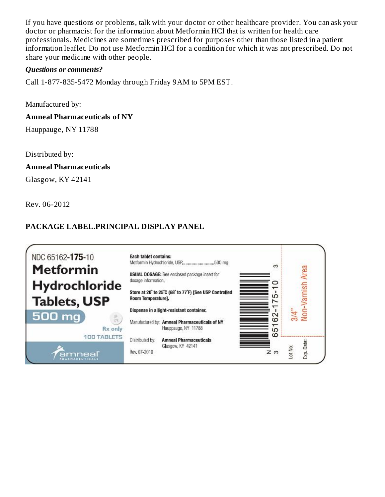If you have questions or problems, talk with your doctor or other healthcare provider. You can ask your doctor or pharmacist for the information about Metformin HCl that is written for health care professionals. Medicines are sometimes prescribed for purposes other than those listed in a patient information leaflet. Do not use Metformin HCl for a condition for which it was not prescribed. Do not share your medicine with other people.

#### *Questions or comments?*

Call 1-877-835-5472 Monday through Friday 9AM to 5PM EST.

Manufactured by:

**Amneal Pharmaceuticals of NY**

Hauppauge, NY 11788

Distributed by:

#### **Amneal Pharmaceuticals**

Glasgow, KY 42141

Rev. 06-2012

## **PACKAGE LABEL.PRINCIPAL DISPLAY PANEL**

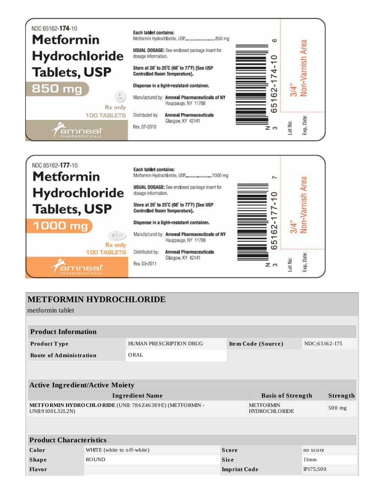



| <b>METFORMIN HYDROCHLORIDE</b>                                              |                            |                         |  |                     |                                          |               |          |
|-----------------------------------------------------------------------------|----------------------------|-------------------------|--|---------------------|------------------------------------------|---------------|----------|
| metformin tablet                                                            |                            |                         |  |                     |                                          |               |          |
|                                                                             |                            |                         |  |                     |                                          |               |          |
| <b>Product Information</b>                                                  |                            |                         |  |                     |                                          |               |          |
| Product Type                                                                |                            | HUMAN PRESCRIPTION DRUG |  |                     | Item Code (Source)                       | NDC:65162-175 |          |
| <b>Route of Administration</b>                                              |                            | ORAL                    |  |                     |                                          |               |          |
|                                                                             |                            |                         |  |                     |                                          |               |          |
|                                                                             |                            |                         |  |                     |                                          |               |          |
| <b>Active Ingredient/Active Moiety</b>                                      |                            |                         |  |                     |                                          |               |          |
|                                                                             |                            | <b>Ingredient Name</b>  |  |                     | <b>Basis of Strength</b>                 |               | Strength |
| METFORMIN HYDROCHLORIDE (UNII: 786Z46389E) (METFORMIN -<br>UNII:9100L32L2N) |                            |                         |  |                     | <b>METFORMIN</b><br><b>HYDROCHLORIDE</b> |               | 500 mg   |
|                                                                             |                            |                         |  |                     |                                          |               |          |
|                                                                             |                            |                         |  |                     |                                          |               |          |
| <b>Product Characteristics</b>                                              |                            |                         |  |                     |                                          |               |          |
| Color                                                                       | WHITE (white to off-white) |                         |  | <b>Score</b>        |                                          | no score      |          |
| <b>Shape</b>                                                                | <b>ROUND</b>               |                         |  | <b>Size</b>         |                                          | 11mm          |          |
| Flavor                                                                      |                            |                         |  | <b>Imprint Code</b> |                                          | IP175;500     |          |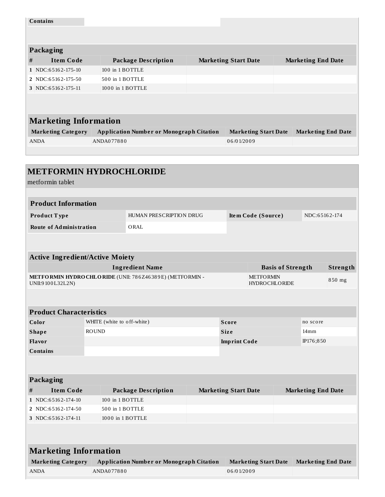|                                                    | Contains                               |            |                                                         |                         |                                          |      |                                     |                           |                           |
|----------------------------------------------------|----------------------------------------|------------|---------------------------------------------------------|-------------------------|------------------------------------------|------|-------------------------------------|---------------------------|---------------------------|
|                                                    |                                        |            |                                                         |                         |                                          |      |                                     |                           |                           |
|                                                    | <b>Packaging</b>                       |            |                                                         |                         |                                          |      |                                     |                           |                           |
| #                                                  | <b>Item Code</b>                       |            | <b>Package Description</b>                              |                         | <b>Marketing Start Date</b>              |      |                                     | <b>Marketing End Date</b> |                           |
|                                                    | 1 NDC:65162-175-10                     |            | 100 in 1 BOTTLE                                         |                         |                                          |      |                                     |                           |                           |
|                                                    | 2 NDC:65162-175-50                     |            | 500 in 1 BOTTLE                                         |                         |                                          |      |                                     |                           |                           |
|                                                    | 3 NDC:65162-175-11                     |            | 1000 in 1 BOTTLE                                        |                         |                                          |      |                                     |                           |                           |
|                                                    |                                        |            |                                                         |                         |                                          |      |                                     |                           |                           |
|                                                    |                                        |            |                                                         |                         |                                          |      |                                     |                           |                           |
|                                                    | <b>Marketing Information</b>           |            |                                                         |                         |                                          |      |                                     |                           |                           |
|                                                    | <b>Marketing Category</b>              |            | <b>Application Number or Monograph Citation</b>         |                         | <b>Marketing Start Date</b>              |      |                                     |                           | <b>Marketing End Date</b> |
|                                                    | <b>ANDA</b>                            | ANDA077880 |                                                         |                         | 06/01/2009                               |      |                                     |                           |                           |
|                                                    |                                        |            |                                                         |                         |                                          |      |                                     |                           |                           |
|                                                    |                                        |            |                                                         |                         |                                          |      |                                     |                           |                           |
|                                                    |                                        |            | <b>METFORMIN HYDROCHLORIDE</b>                          |                         |                                          |      |                                     |                           |                           |
|                                                    | metformin tablet                       |            |                                                         |                         |                                          |      |                                     |                           |                           |
|                                                    |                                        |            |                                                         |                         |                                          |      |                                     |                           |                           |
|                                                    | <b>Product Information</b>             |            |                                                         |                         |                                          |      |                                     |                           |                           |
| Product Type                                       |                                        |            |                                                         | HUMAN PRESCRIPTION DRUG |                                          |      | NDC:65162-174<br>Item Code (Source) |                           |                           |
| <b>Route of Administration</b><br>ORAL             |                                        |            |                                                         |                         |                                          |      |                                     |                           |                           |
|                                                    |                                        |            |                                                         |                         |                                          |      |                                     |                           |                           |
|                                                    |                                        |            |                                                         |                         |                                          |      |                                     |                           |                           |
|                                                    | <b>Active Ingredient/Active Moiety</b> |            |                                                         |                         |                                          |      |                                     |                           |                           |
| <b>Ingredient Name</b><br><b>Basis of Strength</b> |                                        |            |                                                         |                         | Strength                                 |      |                                     |                           |                           |
|                                                    | UNII:9100L32L2N)                       |            | METFORMIN HYDROCHLORIDE (UNII: 786Z46389E) (METFORMIN - |                         | <b>METFORMIN</b><br><b>HYDROCHLORIDE</b> |      |                                     | 850 mg                    |                           |
|                                                    |                                        |            |                                                         |                         |                                          |      |                                     |                           |                           |
|                                                    |                                        |            |                                                         |                         |                                          |      |                                     |                           |                           |
|                                                    | <b>Product Characteristics</b>         |            |                                                         |                         |                                          |      |                                     |                           |                           |
|                                                    | Color                                  |            | WHITE (white to off-white)                              |                         | Score                                    |      |                                     | no score                  |                           |
|                                                    | <b>Shape</b><br><b>ROUND</b>           |            |                                                         | Size                    |                                          | 14mm |                                     |                           |                           |
| Flavor                                             |                                        |            |                                                         | <b>Imprint Code</b>     |                                          |      | IP176;850                           |                           |                           |
|                                                    | <b>Contains</b>                        |            |                                                         |                         |                                          |      |                                     |                           |                           |
|                                                    |                                        |            |                                                         |                         |                                          |      |                                     |                           |                           |
|                                                    |                                        |            |                                                         |                         |                                          |      |                                     |                           |                           |
|                                                    | Packaging                              |            |                                                         |                         |                                          |      |                                     |                           |                           |
| $\#$                                               | <b>Item Code</b>                       |            | <b>Package Description</b>                              |                         | <b>Marketing Start Date</b>              |      |                                     | <b>Marketing End Date</b> |                           |
|                                                    | 1 NDC:65162-174-10                     |            | 100 in 1 BOTTLE                                         |                         |                                          |      |                                     |                           |                           |
|                                                    | 2 NDC:65162-174-50                     |            | 500 in 1 BOTTLE                                         |                         |                                          |      |                                     |                           |                           |
|                                                    | 3 NDC:65162-174-11                     |            | 1000 in 1 BOTTLE                                        |                         |                                          |      |                                     |                           |                           |
|                                                    |                                        |            |                                                         |                         |                                          |      |                                     |                           |                           |
|                                                    |                                        |            |                                                         |                         |                                          |      |                                     |                           |                           |
|                                                    | <b>Marketing Information</b>           |            |                                                         |                         |                                          |      |                                     |                           |                           |

| <b>Marketing Category</b> | <b>Application Number or Monograph Citation</b> | Marketing Start Date | <b>Marketing End Date</b> |
|---------------------------|-------------------------------------------------|----------------------|---------------------------|
| <b>ANDA</b>               | ANDA077880                                      | 06/01/2009           |                           |